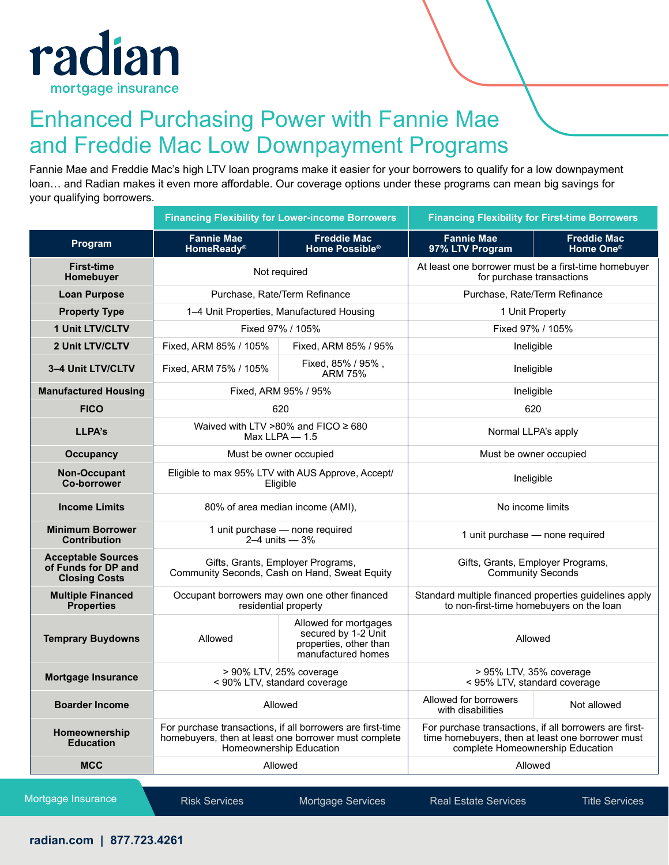

## Enhanced Purchasing Power with Fannie Mae and Freddie Mac Low Downpayment Programs

Fannie Mae and Freddie Mac's high LTV loan programs make it easier for your borrowers to qualify for a low downpayment loan… and Radian makes it even more affordable. Our coverage options under these programs can mean big savings for your qualifying borrowers.

|                                                                          | <b>Financing Flexibility for Lower-income Borrowers</b>                                                                                       |                                                                                              | <b>Financing Flexibility for First-time Borrowers</b>                                                                                          |                                             |
|--------------------------------------------------------------------------|-----------------------------------------------------------------------------------------------------------------------------------------------|----------------------------------------------------------------------------------------------|------------------------------------------------------------------------------------------------------------------------------------------------|---------------------------------------------|
| Program                                                                  | <b>Fannie Mae</b><br>HomeReady <sup>®</sup>                                                                                                   | <b>Freddie Mac</b><br>Home Possible <sup>®</sup>                                             | <b>Fannie Mae</b><br>97% LTV Program                                                                                                           | <b>Freddie Mac</b><br>Home One <sup>®</sup> |
| <b>First-time</b><br>Homebuyer                                           | Not required                                                                                                                                  |                                                                                              | At least one borrower must be a first-time homebuyer<br>for purchase transactions                                                              |                                             |
| <b>Loan Purpose</b>                                                      | Purchase, Rate/Term Refinance                                                                                                                 |                                                                                              | Purchase, Rate/Term Refinance                                                                                                                  |                                             |
| <b>Property Type</b>                                                     | 1-4 Unit Properties, Manufactured Housing                                                                                                     |                                                                                              | 1 Unit Property                                                                                                                                |                                             |
| 1 Unit LTV/CLTV                                                          | Fixed 97% / 105%                                                                                                                              |                                                                                              | Fixed 97% / 105%                                                                                                                               |                                             |
| 2 Unit LTV/CLTV                                                          | Fixed, ARM 85% / 105%                                                                                                                         | Fixed, ARM 85% / 95%                                                                         | Ineligible                                                                                                                                     |                                             |
| 3-4 Unit LTV/CLTV                                                        | Fixed, ARM 75% / 105%                                                                                                                         | Fixed, 85% / 95%,<br><b>ARM 75%</b>                                                          | Ineligible                                                                                                                                     |                                             |
| <b>Manufactured Housing</b>                                              |                                                                                                                                               | Fixed, ARM 95% / 95%                                                                         | Ineligible                                                                                                                                     |                                             |
| <b>FICO</b>                                                              | 620                                                                                                                                           |                                                                                              | 620                                                                                                                                            |                                             |
| LLPA's                                                                   |                                                                                                                                               | Waived with LTV >80% and FICO $\geq 680$<br>Max LLPA $-$ 1.5                                 | Normal LLPA's apply                                                                                                                            |                                             |
| <b>Occupancy</b>                                                         | Must be owner occupied                                                                                                                        |                                                                                              | Must be owner occupied                                                                                                                         |                                             |
| Non-Occupant<br><b>Co-borrower</b>                                       | Eligible to max 95% LTV with AUS Approve, Accept/<br>Eligible                                                                                 |                                                                                              | Ineligible                                                                                                                                     |                                             |
| <b>Income Limits</b>                                                     | 80% of area median income (AMI),                                                                                                              |                                                                                              | No income limits                                                                                                                               |                                             |
| <b>Minimum Borrower</b><br><b>Contribution</b>                           | 1 unit purchase - none required<br>2-4 units $-3%$                                                                                            |                                                                                              | 1 unit purchase - none required                                                                                                                |                                             |
| <b>Acceptable Sources</b><br>of Funds for DP and<br><b>Closing Costs</b> | Gifts, Grants, Employer Programs,<br>Community Seconds, Cash on Hand, Sweat Equity                                                            |                                                                                              | Gifts, Grants, Employer Programs,<br><b>Community Seconds</b>                                                                                  |                                             |
| <b>Multiple Financed</b><br><b>Properties</b>                            |                                                                                                                                               | Occupant borrowers may own one other financed<br>residential property                        | Standard multiple financed properties guidelines apply<br>to non-first-time homebuyers on the loan                                             |                                             |
| <b>Temprary Buydowns</b>                                                 | Allowed                                                                                                                                       | Allowed for mortgages<br>secured by 1-2 Unit<br>properties, other than<br>manufactured homes | Allowed                                                                                                                                        |                                             |
| <b>Mortgage Insurance</b>                                                |                                                                                                                                               | > 90% LTV, 25% coverage<br>< 90% LTV, standard coverage                                      | > 95% LTV, 35% coverage<br>< 95% LTV, standard coverage                                                                                        |                                             |
| <b>Boarder Income</b>                                                    | Allowed                                                                                                                                       |                                                                                              | Allowed for borrowers<br>with disabilities                                                                                                     | Not allowed                                 |
| Homeownership<br><b>Education</b>                                        | For purchase transactions, if all borrowers are first-time<br>homebuyers, then at least one borrower must complete<br>Homeownership Education |                                                                                              | For purchase transactions, if all borrowers are first-<br>time homebuyers, then at least one borrower must<br>complete Homeownership Education |                                             |
| <b>MCC</b>                                                               | Allowed                                                                                                                                       |                                                                                              | Allowed                                                                                                                                        |                                             |
|                                                                          |                                                                                                                                               |                                                                                              |                                                                                                                                                |                                             |

Mortgage Insurance Risk Services Mortgage Services Real Estate Services Title Services